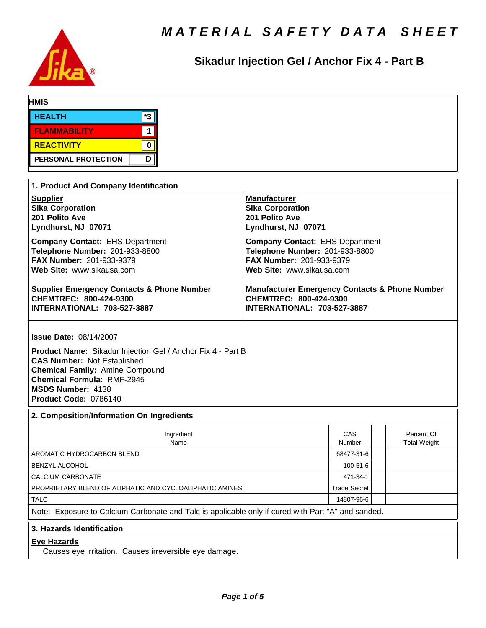

## Sikadur Injection Gel / Anchor Fix 4 - Part B

| <b>HMIS</b>                                                                                                                                                                                                                                                            |                                                                                                                           |                     |                                   |
|------------------------------------------------------------------------------------------------------------------------------------------------------------------------------------------------------------------------------------------------------------------------|---------------------------------------------------------------------------------------------------------------------------|---------------------|-----------------------------------|
| *3<br><b>HEALTH</b>                                                                                                                                                                                                                                                    |                                                                                                                           |                     |                                   |
| $\mathbf 1$<br><b>FLAMMABILITY</b>                                                                                                                                                                                                                                     |                                                                                                                           |                     |                                   |
| <b>REACTIVITY</b><br>$\mathbf 0$                                                                                                                                                                                                                                       |                                                                                                                           |                     |                                   |
| D<br>PERSONAL PROTECTION                                                                                                                                                                                                                                               |                                                                                                                           |                     |                                   |
|                                                                                                                                                                                                                                                                        |                                                                                                                           |                     |                                   |
| 1. Product And Company Identification                                                                                                                                                                                                                                  |                                                                                                                           |                     |                                   |
| <b>Supplier</b>                                                                                                                                                                                                                                                        | <b>Manufacturer</b>                                                                                                       |                     |                                   |
| <b>Sika Corporation</b>                                                                                                                                                                                                                                                | <b>Sika Corporation</b>                                                                                                   |                     |                                   |
| 201 Polito Ave                                                                                                                                                                                                                                                         | 201 Polito Ave                                                                                                            |                     |                                   |
| Lyndhurst, NJ 07071                                                                                                                                                                                                                                                    | Lyndhurst, NJ 07071                                                                                                       |                     |                                   |
| <b>Company Contact: EHS Department</b>                                                                                                                                                                                                                                 | <b>Company Contact: EHS Department</b>                                                                                    |                     |                                   |
| Telephone Number: 201-933-8800                                                                                                                                                                                                                                         | Telephone Number: 201-933-8800                                                                                            |                     |                                   |
| FAX Number: 201-933-9379                                                                                                                                                                                                                                               | FAX Number: 201-933-9379                                                                                                  |                     |                                   |
| Web Site: www.sikausa.com                                                                                                                                                                                                                                              | Web Site: www.sikausa.com                                                                                                 |                     |                                   |
| <b>Supplier Emergency Contacts &amp; Phone Number</b><br>CHEMTREC: 800-424-9300<br>INTERNATIONAL: 703-527-3887                                                                                                                                                         | <b>Manufacturer Emergency Contacts &amp; Phone Number</b><br>CHEMTREC: 800-424-9300<br><b>INTERNATIONAL: 703-527-3887</b> |                     |                                   |
| <b>Issue Date: 08/14/2007</b><br>Product Name: Sikadur Injection Gel / Anchor Fix 4 - Part B<br><b>CAS Number: Not Established</b><br><b>Chemical Family: Amine Compound</b><br><b>Chemical Formula: RMF-2945</b><br><b>MSDS Number: 4138</b><br>Product Code: 0786140 |                                                                                                                           |                     |                                   |
| 2. Composition/Information On Ingredients                                                                                                                                                                                                                              |                                                                                                                           |                     |                                   |
| Ingredient<br>Name                                                                                                                                                                                                                                                     |                                                                                                                           | CAS<br>Number       | Percent Of<br><b>Total Weight</b> |
| AROMATIC HYDROCARBON BLEND                                                                                                                                                                                                                                             | 68477-31-6                                                                                                                |                     |                                   |
| BENZYL ALCOHOL                                                                                                                                                                                                                                                         |                                                                                                                           | 100-51-6            |                                   |
| CALCIUM CARBONATE                                                                                                                                                                                                                                                      |                                                                                                                           | 471-34-1            |                                   |
| PROPRIETARY BLEND OF ALIPHATIC AND CYCLOALIPHATIC AMINES                                                                                                                                                                                                               |                                                                                                                           | <b>Trade Secret</b> |                                   |
| <b>TALC</b>                                                                                                                                                                                                                                                            |                                                                                                                           | 14807-96-6          |                                   |
| Note: Exposure to Calcium Carbonate and Talc is applicable only if cured with Part "A" and sanded.                                                                                                                                                                     |                                                                                                                           |                     |                                   |
| 3. Hazards Identification                                                                                                                                                                                                                                              |                                                                                                                           |                     |                                   |
| <b>Eye Hazards</b><br>Causes eye irritation. Causes irreversible eye damage.                                                                                                                                                                                           |                                                                                                                           |                     |                                   |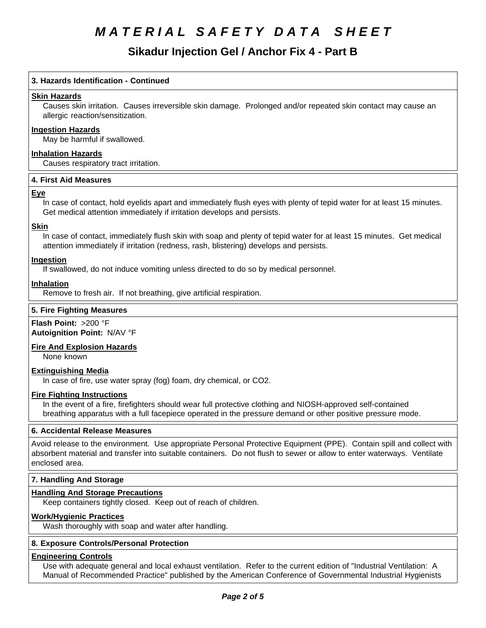### **Sikadur Injection Gel / Anchor Fix 4 - Part B**

### **3. Hazards Identification - Continued**

### **Skin Hazards**

Causes skin irritation. Causes irreversible skin damage. Prolonged and/or repeated skin contact may cause an allergic reaction/sensitization.

### **Ingestion Hazards**

May be harmful if swallowed.

**Inhalation Hazards** Causes respiratory tract irritation.

#### **4.First AidMeasures**

#### **Eye**

In case of contact, hold eyelids apart and immediately flush eyes with plenty of tepid water for at least 15 minutes. Get medical attention immediately if irritation develops and persists.

#### **Skin**

In case of contact, immediately flush skin with soap and plenty of tepid water for at least 15 minutes. Get medical attention immediately if irritation (redness, rash, blistering) develops and persists.

#### **Ingestion**

If swallowed, do not induce vomiting unless directed to do so by medical personnel.

### **Inhalation**

Remove to fresh air. If not breathing, give artificial respiration.

#### **5. Fire Fighting Measures**

#### **Flash Point:** >200 °F **Autoignition Point:** N/AV°F

#### **Fire And Explosion Hazards**

None known

#### **Extinguishing Media**

In case of fire, use water spray (fog) foam, dry chemical, or CO2.

#### **Fire Fighting Instructions**

In the event of a fire, firefighters should wear full protective clothing and NIOSH-approved self-contained breathing apparatus with a full facepiece operated in the pressure demand or other positive pressure mode.

#### **6. Accidental Release Measures**

Avoid release to the environment. Use appropriate Personal Protective Equipment (PPE). Contain spill and collect with absorbent material and transfer into suitable containers. Do not flush to sewer or allow to enter waterways. Ventilate enclosed area.

#### **7. Handling And Storage**

#### **Handling And Storage Precautions**

Keep containers tightly closed. Keep out of reach of children.

#### **Work/Hygienic Practices**

Wash thoroughly with soap and water after handling.

#### **8. Exposure Controls/Personal Protection**

#### **Engineering Controls**

Use with adequate general and local exhaust ventilation. Refer to the current edition of "Industrial Ventilation: A Manual of Recommended Practice" published by the American Conference of Governmental Industrial Hygienists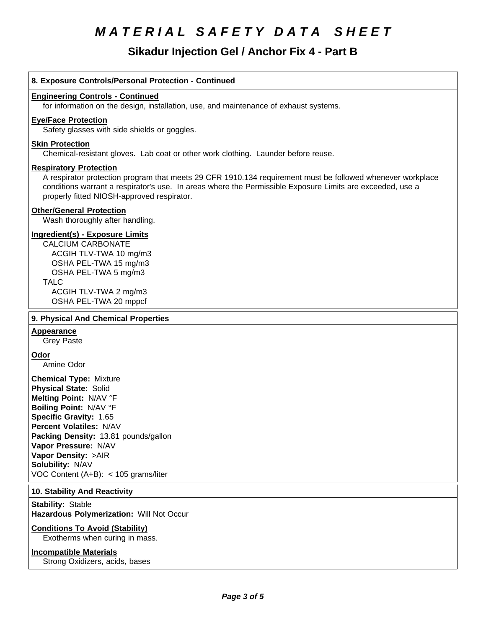### **Sikadur Injection Gel / Anchor Fix 4 - Part B**

#### **8. Exposure Controls/Personal Protection - Continued**

#### **Engineering Controls - Continued**

for information on the design, installation, use, and maintenance of exhaust systems.

#### **Eye/Face Protection**

Safety glasses with side shields or goggles.

#### **Skin Protection**

Chemical-resistant gloves. Lab coat or other work clothing. Launder before reuse.

#### **Respiratory Protection**

A respirator protection program that meets 29 CFR 1910.134 requirement must be followed whenever workplace conditions warrant a respirator's use. In areas where the Permissible Exposure Limits are exceeded, use a properly fitted NIOSH-approved respirator.

#### **Other/General Protection**

Wash thoroughly after handling.

#### **Ingredient(s) - Exposure Limits**

CALCIUM CARBONATE ACGIH TLV-TWA10 mg/m3 OSHA PEL-TWA 15 mg/m3 OSHA PEL-TWA 5 mg/m3 TALC ACGIH TLV-TWA 2 mg/m3 OSHA PEL-TWA 20 mppcf

#### **9. Physical And Chemical Properties**

#### **Appearance**

Grey Paste

**Odor**

Amine Odor

**Chemical Type:** Mixture **Physical State:** Solid **Melting Point:** N/AV°F **Boiling Point:** N/AV°F **Specific Gravity:** 1.65 **Percent Volatiles:** N/AV **Packing Density:** 13.81 pounds/gallon **Vapor Pressure:** N/AV **Vapor Density:** >AIR **Solubility: N/AV** VOC Content  $(A+B)$ : < 105 grams/liter

#### **10. Stability And Reactivity**

**Stability: Stable Hazardous Polymerization: Will Not Occur** 

#### **Conditions To Avoid (Stability)**

Exotherms when curing in mass.

#### **Incompatible Materials**

Strong Oxidizers, acids, bases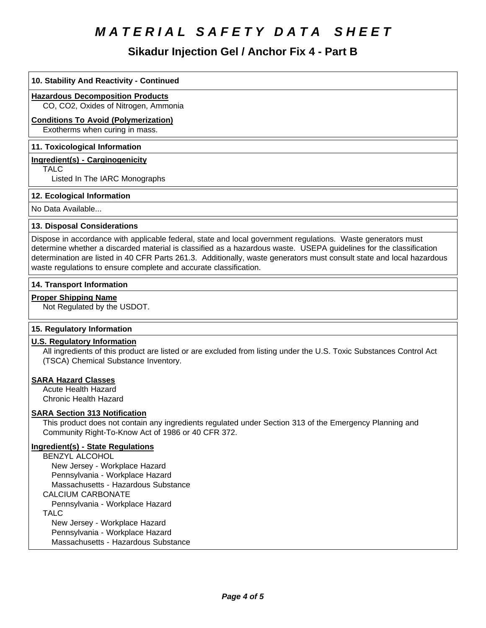### Sikadur Injection Gel / Anchor Fix 4 - Part B

| 10. Stability And Reactivity - Continued                                                                                                                                                                                                                                                                                                                                                                                         |
|----------------------------------------------------------------------------------------------------------------------------------------------------------------------------------------------------------------------------------------------------------------------------------------------------------------------------------------------------------------------------------------------------------------------------------|
| <b>Hazardous Decomposition Products</b><br>CO, CO2, Oxides of Nitrogen, Ammonia                                                                                                                                                                                                                                                                                                                                                  |
| <b>Conditions To Avoid (Polymerization)</b>                                                                                                                                                                                                                                                                                                                                                                                      |
| Exotherms when curing in mass.                                                                                                                                                                                                                                                                                                                                                                                                   |
| 11. Toxicological Information                                                                                                                                                                                                                                                                                                                                                                                                    |
| <b>Ingredient(s) - Carginogenicity</b>                                                                                                                                                                                                                                                                                                                                                                                           |
| <b>TALC</b><br>Listed In The IARC Monographs                                                                                                                                                                                                                                                                                                                                                                                     |
| 12. Ecological Information                                                                                                                                                                                                                                                                                                                                                                                                       |
| No Data Available                                                                                                                                                                                                                                                                                                                                                                                                                |
| 13. Disposal Considerations                                                                                                                                                                                                                                                                                                                                                                                                      |
| Dispose in accordance with applicable federal, state and local government regulations. Waste generators must<br>determine whether a discarded material is classified as a hazardous waste. USEPA guidelines for the classification<br>determination are listed in 40 CFR Parts 261.3. Additionally, waste generators must consult state and local hazardous<br>waste regulations to ensure complete and accurate classification. |
| 14. Transport Information                                                                                                                                                                                                                                                                                                                                                                                                        |
| <b>Proper Shipping Name</b><br>Not Regulated by the USDOT.                                                                                                                                                                                                                                                                                                                                                                       |
| 15. Regulatory Information                                                                                                                                                                                                                                                                                                                                                                                                       |
| <b>U.S. Regulatory Information</b><br>All ingredients of this product are listed or are excluded from listing under the U.S. Toxic Substances Control Act<br>(TSCA) Chemical Substance Inventory.                                                                                                                                                                                                                                |
| <b>SARA Hazard Classes</b><br><b>Acute Health Hazard</b><br><b>Chronic Health Hazard</b>                                                                                                                                                                                                                                                                                                                                         |
| <b>SARA Section 313 Notification</b><br>This product does not contain any ingredients regulated under Section 313 of the Emergency Planning and<br>Community Right-To-Know Act of 1986 or 40 CFR 372.                                                                                                                                                                                                                            |
| <b>Ingredient(s) - State Regulations</b><br><b>BENZYL ALCOHOL</b><br>New Jersey - Workplace Hazard<br>Pennsylvania - Workplace Hazard                                                                                                                                                                                                                                                                                            |

Massachusetts - Hazardous Substance

CALCIUM CARBONATE

Pennsylvania - Workplace Hazard

TALC

 New Jersey - Workplace Hazard Pennsylvania - Workplace Hazard Massachusetts - Hazardous Substance